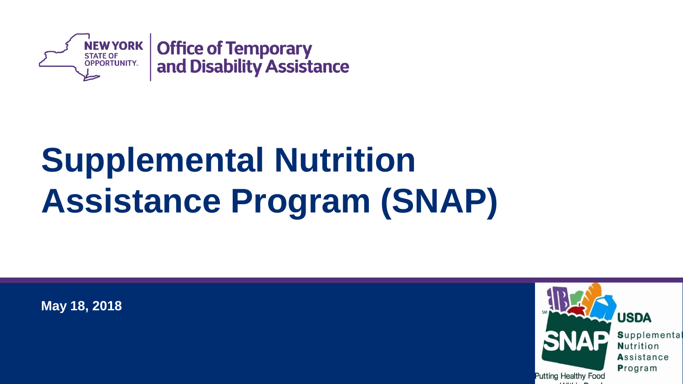

# **Supplemental Nutrition Assistance Program (SNAP)**

**May 18, 2018**



Supplemental Nutrition Assistance Program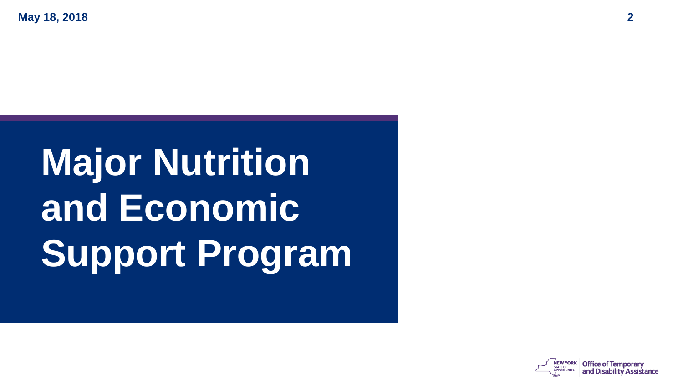**May 18, 2018 2**

# **Major Nutrition and Economic Support Program**

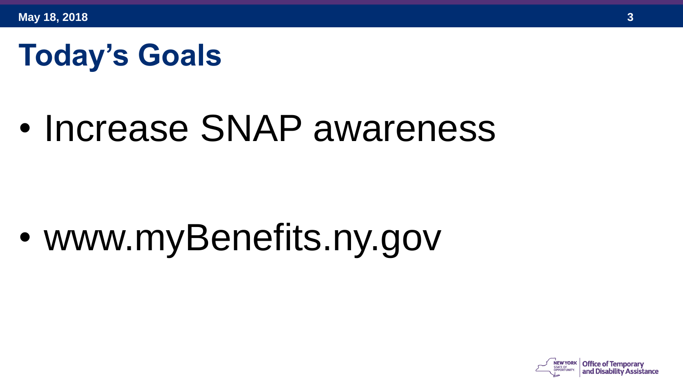### **Today's Goals**

# • Increase SNAP awareness

• www.myBenefits.ny.gov

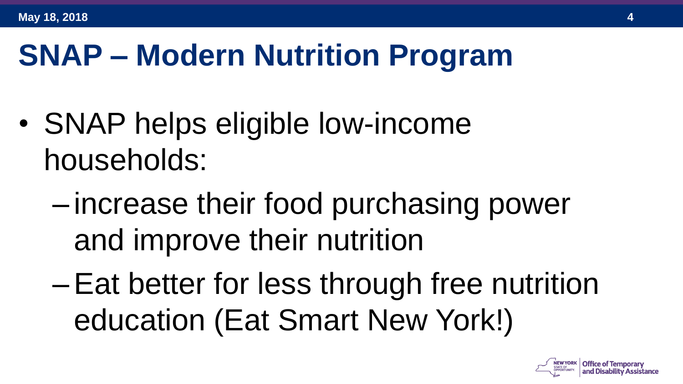## **SNAP – Modern Nutrition Program**

- SNAP helps eligible low-income households:
	- increase their food purchasing power and improve their nutrition
	- –Eat better for less through free nutrition education (Eat Smart New York!)

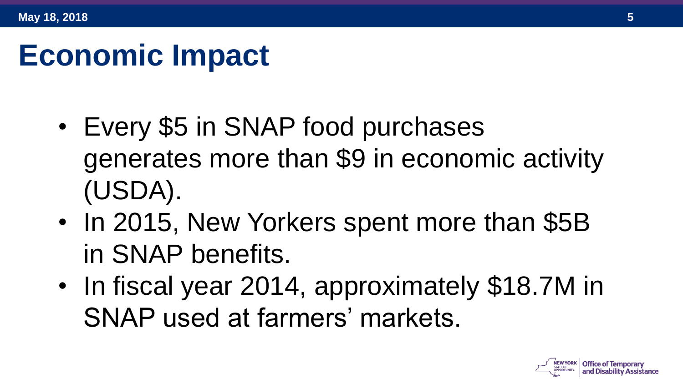#### **Economic Impact**

- Every \$5 in SNAP food purchases generates more than \$9 in economic activity (USDA).
- In 2015, New Yorkers spent more than \$5B in SNAP benefits.
- In fiscal year 2014, approximately \$18.7M in SNAP used at farmers' markets.

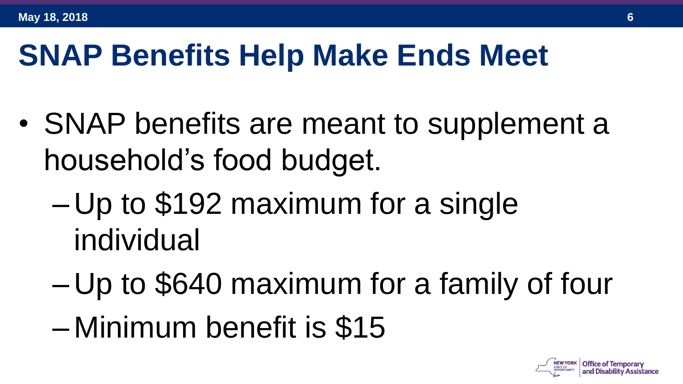#### **SNAP Benefits Help Make Ends Meet**

- SNAP benefits are meant to supplement a household's food budget.
	- Up to \$192 maximum for a single individual
	- Up to \$640 maximum for a family of four
	- Minimum benefit is \$15

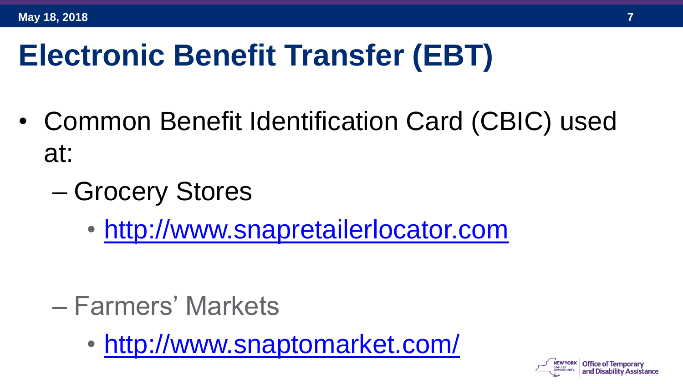## **Electronic Benefit Transfer (EBT)**

- Common Benefit Identification Card (CBIC) used at:
	- Grocery Stores
		- [http://www.snapretailerlocator.com](http://www.snapretailerlocator.com/)

- Farmers' Markets
	- <http://www.snaptomarket.com/>

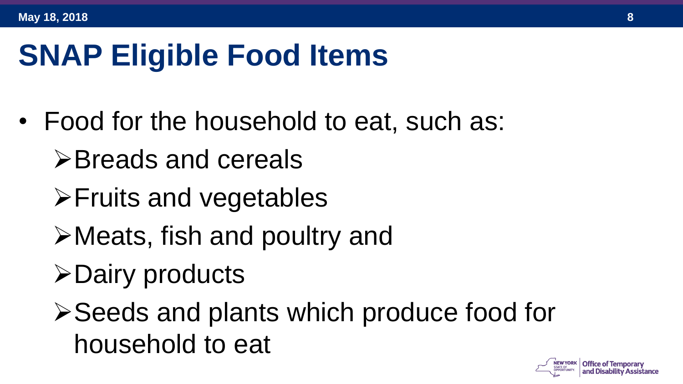## **SNAP Eligible Food Items**

- Food for the household to eat, such as:
	- ➢Breads and cereals
	- ➢Fruits and vegetables
	- ➢Meats, fish and poultry and
	- ➢Dairy products
	- ➢Seeds and plants which produce food for household to eat

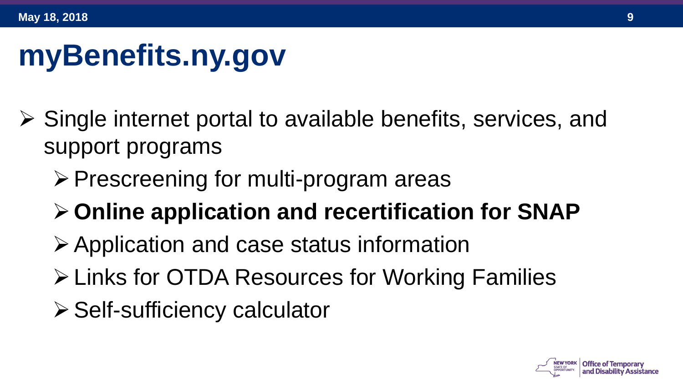## **myBenefits.ny.gov**

- ➢ Single internet portal to available benefits, services, and support programs
	- ➢Prescreening for multi-program areas
	- ➢**Online application and recertification for SNAP**
	- ➢Application and case status information
	- ➢Links for OTDA Resources for Working Families
	- ➢Self-sufficiency calculator

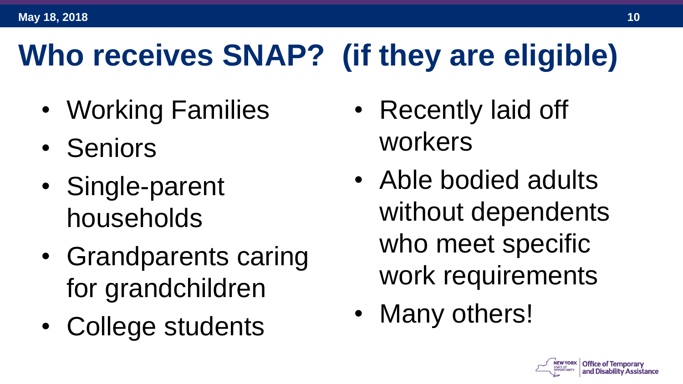# **Who receives SNAP? (if they are eligible)**

- Working Families
- Seniors
- Single-parent households
- Grandparents caring for grandchildren
- College students
- Recently laid off workers
- Able bodied adults without dependents who meet specific work requirements
- Many others!

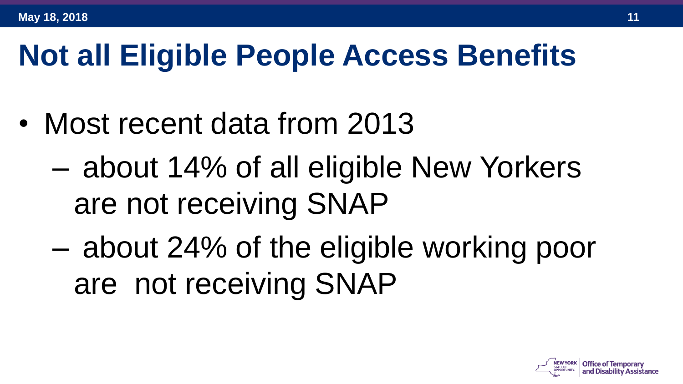#### **Not all Eligible People Access Benefits**

- Most recent data from 2013
	- about 14% of all eligible New Yorkers are not receiving SNAP
	- about 24% of the eligible working poor are not receiving SNAP